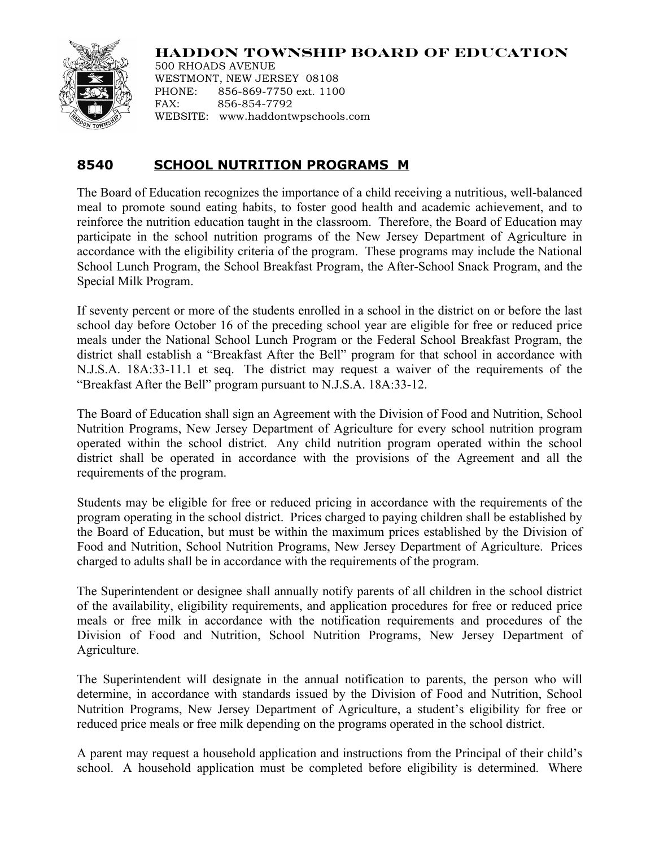## **HADDON TOWNSHIP BOARD OF EDUCATION**



500 RHOADS AVENUE WESTMONT, NEW JERSEY 08108 PHONE: 856-869-7750 ext. 1100 FAX: 856-854-7792 WEBSITE: www.haddontwpschools.com

## **8540 SCHOOL NUTRITION PROGRAMS M**

The Board of Education recognizes the importance of a child receiving a nutritious, well-balanced meal to promote sound eating habits, to foster good health and academic achievement, and to reinforce the nutrition education taught in the classroom. Therefore, the Board of Education may participate in the school nutrition programs of the New Jersey Department of Agriculture in accordance with the eligibility criteria of the program. These programs may include the National School Lunch Program, the School Breakfast Program, the After-School Snack Program, and the Special Milk Program.

If seventy percent or more of the students enrolled in a school in the district on or before the last school day before October 16 of the preceding school year are eligible for free or reduced price meals under the National School Lunch Program or the Federal School Breakfast Program, the district shall establish a "Breakfast After the Bell" program for that school in accordance with N.J.S.A. 18A:33-11.1 et seq. The district may request a waiver of the requirements of the "Breakfast After the Bell" program pursuant to N.J.S.A. 18A:33-12.

The Board of Education shall sign an Agreement with the Division of Food and Nutrition, School Nutrition Programs, New Jersey Department of Agriculture for every school nutrition program operated within the school district. Any child nutrition program operated within the school district shall be operated in accordance with the provisions of the Agreement and all the requirements of the program.

Students may be eligible for free or reduced pricing in accordance with the requirements of the program operating in the school district. Prices charged to paying children shall be established by the Board of Education, but must be within the maximum prices established by the Division of Food and Nutrition, School Nutrition Programs, New Jersey Department of Agriculture. Prices charged to adults shall be in accordance with the requirements of the program.

The Superintendent or designee shall annually notify parents of all children in the school district of the availability, eligibility requirements, and application procedures for free or reduced price meals or free milk in accordance with the notification requirements and procedures of the Division of Food and Nutrition, School Nutrition Programs, New Jersey Department of Agriculture.

The Superintendent will designate in the annual notification to parents, the person who will determine, in accordance with standards issued by the Division of Food and Nutrition, School Nutrition Programs, New Jersey Department of Agriculture, a student's eligibility for free or reduced price meals or free milk depending on the programs operated in the school district.

A parent may request a household application and instructions from the Principal of their child's school. A household application must be completed before eligibility is determined. Where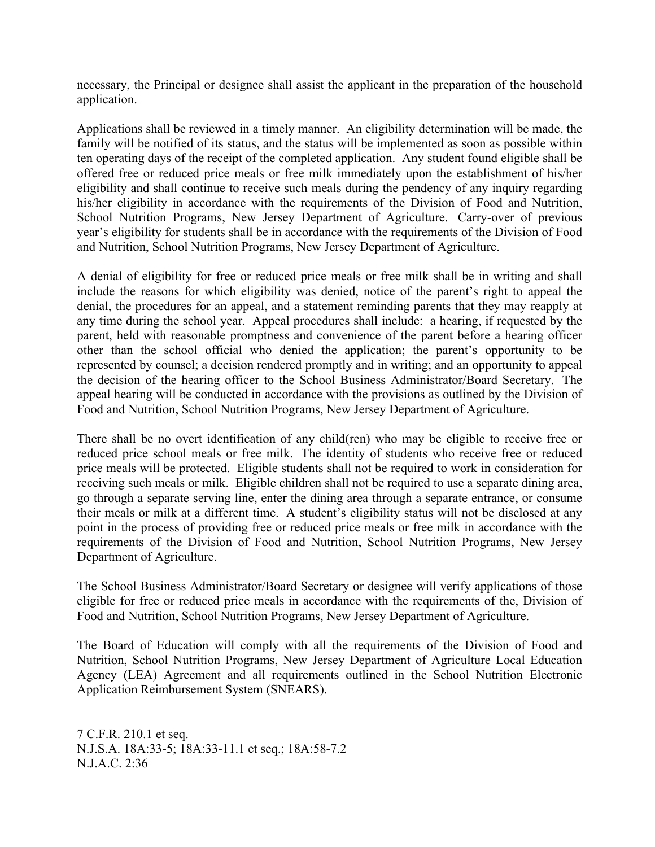necessary, the Principal or designee shall assist the applicant in the preparation of the household application.

Applications shall be reviewed in a timely manner. An eligibility determination will be made, the family will be notified of its status, and the status will be implemented as soon as possible within ten operating days of the receipt of the completed application. Any student found eligible shall be offered free or reduced price meals or free milk immediately upon the establishment of his/her eligibility and shall continue to receive such meals during the pendency of any inquiry regarding his/her eligibility in accordance with the requirements of the Division of Food and Nutrition, School Nutrition Programs, New Jersey Department of Agriculture. Carry-over of previous year's eligibility for students shall be in accordance with the requirements of the Division of Food and Nutrition, School Nutrition Programs, New Jersey Department of Agriculture.

A denial of eligibility for free or reduced price meals or free milk shall be in writing and shall include the reasons for which eligibility was denied, notice of the parent's right to appeal the denial, the procedures for an appeal, and a statement reminding parents that they may reapply at any time during the school year. Appeal procedures shall include: a hearing, if requested by the parent, held with reasonable promptness and convenience of the parent before a hearing officer other than the school official who denied the application; the parent's opportunity to be represented by counsel; a decision rendered promptly and in writing; and an opportunity to appeal the decision of the hearing officer to the School Business Administrator/Board Secretary. The appeal hearing will be conducted in accordance with the provisions as outlined by the Division of Food and Nutrition, School Nutrition Programs, New Jersey Department of Agriculture.

There shall be no overt identification of any child(ren) who may be eligible to receive free or reduced price school meals or free milk. The identity of students who receive free or reduced price meals will be protected. Eligible students shall not be required to work in consideration for receiving such meals or milk. Eligible children shall not be required to use a separate dining area, go through a separate serving line, enter the dining area through a separate entrance, or consume their meals or milk at a different time. A student's eligibility status will not be disclosed at any point in the process of providing free or reduced price meals or free milk in accordance with the requirements of the Division of Food and Nutrition, School Nutrition Programs, New Jersey Department of Agriculture.

The School Business Administrator/Board Secretary or designee will verify applications of those eligible for free or reduced price meals in accordance with the requirements of the, Division of Food and Nutrition, School Nutrition Programs, New Jersey Department of Agriculture.

The Board of Education will comply with all the requirements of the Division of Food and Nutrition, School Nutrition Programs, New Jersey Department of Agriculture Local Education Agency (LEA) Agreement and all requirements outlined in the School Nutrition Electronic Application Reimbursement System (SNEARS).

7 C.F.R. 210.1 et seq. N.J.S.A. 18A:33-5; 18A:33-11.1 et seq.; 18A:58-7.2 N.J.A.C. 2:36